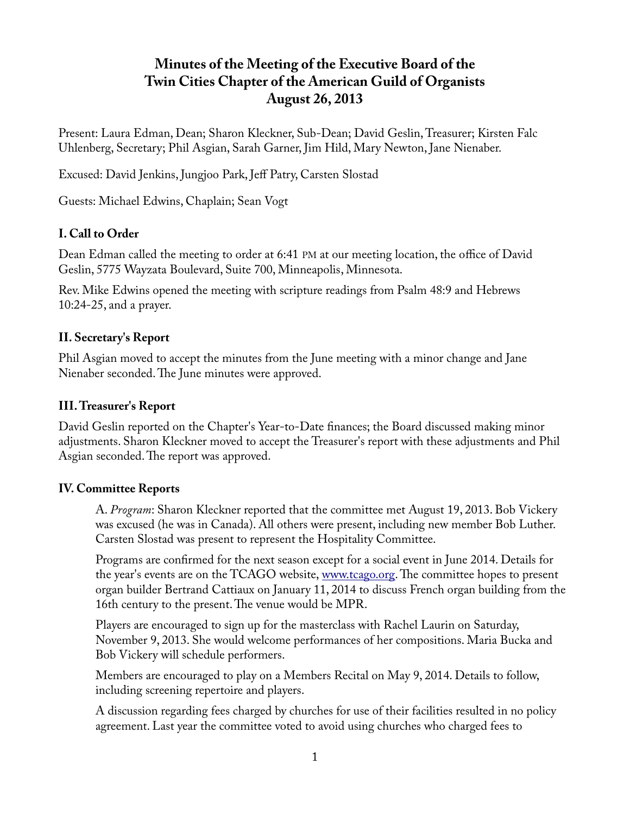# **Minutes of the Meeting of the Executive Board of the Twin Cities Chapter of the American Guild of Organists August 26, 2013**

Present: Laura Edman, Dean; Sharon Kleckner, Sub-Dean; David Geslin, Treasurer; Kirsten Falc Uhlenberg, Secretary; Phil Asgian, Sarah Garner, Jim Hild, Mary Newton, Jane Nienaber.

Excused: David Jenkins, Jungjoo Park, Jeff Patry, Carsten Slostad

Guests: Michael Edwins, Chaplain; Sean Vogt

## **I. Call to Order**

Dean Edman called the meeting to order at 6:41 PM at our meeting location, the office of David Geslin, 5775 Wayzata Boulevard, Suite 700, Minneapolis, Minnesota.

Rev. Mike Edwins opened the meeting with scripture readings from Psalm 48:9 and Hebrews 10:24-25, and a prayer.

## **II. Secretary's Report**

Phil Asgian moved to accept the minutes from the June meeting with a minor change and Jane Nienaber seconded. The June minutes were approved.

### **III. Treasurer's Report**

David Geslin reported on the Chapter's Year-to-Date finances; the Board discussed making minor adjustments. Sharon Kleckner moved to accept the Treasurer's report with these adjustments and Phil Asgian seconded. The report was approved.

#### **IV. Committee Reports**

A. *Program*: Sharon Kleckner reported that the committee met August 19, 2013. Bob Vickery was excused (he was in Canada). All others were present, including new member Bob Luther. Carsten Slostad was present to represent the Hospitality Committee.

Programs are confirmed for the next season except for a social event in June 2014. Details for the year's events are on the TCAGO website, [www.tcago.org.](http://www.tcago.org/) The committee hopes to present organ builder Bertrand Cattiaux on January 11, 2014 to discuss French organ building from the 16th century to the present. The venue would be MPR.

Players are encouraged to sign up for the masterclass with Rachel Laurin on Saturday, November 9, 2013. She would welcome performances of her compositions. Maria Bucka and Bob Vickery will schedule performers.

Members are encouraged to play on a Members Recital on May 9, 2014. Details to follow, including screening repertoire and players.

A discussion regarding fees charged by churches for use of their facilities resulted in no policy agreement. Last year the committee voted to avoid using churches who charged fees to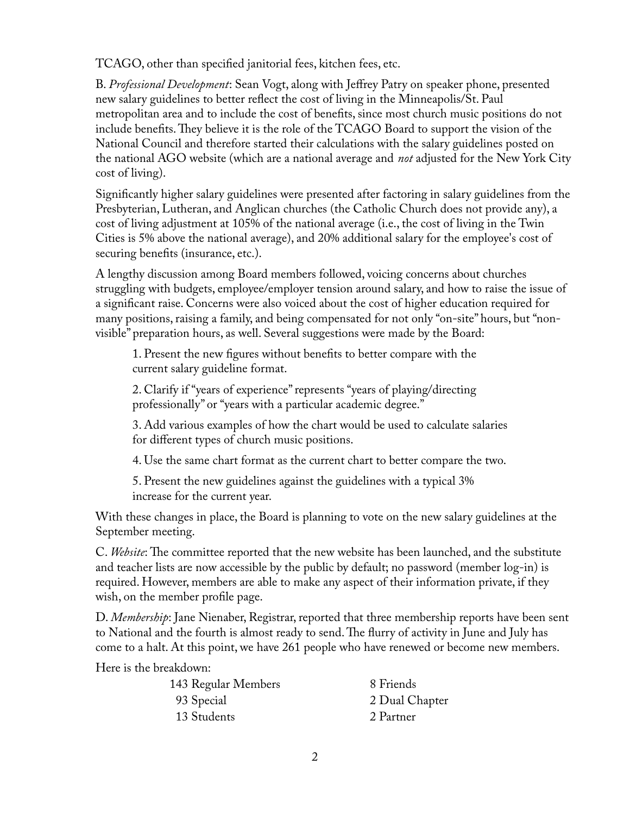TCAGO, other than specified janitorial fees, kitchen fees, etc.

B. *Professional Development*: Sean Vogt, along with Jeffrey Patry on speaker phone, presented new salary guidelines to better reflect the cost of living in the Minneapolis/St. Paul metropolitan area and to include the cost of benefits, since most church music positions do not include benefits. They believe it is the role of the TCAGO Board to support the vision of the National Council and therefore started their calculations with the salary guidelines posted on the national AGO website (which are a national average and *not* adjusted for the New York City cost of living).

Significantly higher salary guidelines were presented after factoring in salary guidelines from the Presbyterian, Lutheran, and Anglican churches (the Catholic Church does not provide any), a cost of living adjustment at 105% of the national average (i.e., the cost of living in the Twin Cities is 5% above the national average), and 20% additional salary for the employee's cost of securing benefits (insurance, etc.).

A lengthy discussion among Board members followed, voicing concerns about churches struggling with budgets, employee/employer tension around salary, and how to raise the issue of a significant raise. Concerns were also voiced about the cost of higher education required for many positions, raising a family, and being compensated for not only "on-site" hours, but "nonvisible" preparation hours, as well. Several suggestions were made by the Board:

1. Present the new figures without benefits to better compare with the current salary guideline format.

2. Clarify if "years of experience" represents "years of playing/directing professionally" or "years with a particular academic degree."

3. Add various examples of how the chart would be used to calculate salaries for different types of church music positions.

4. Use the same chart format as the current chart to better compare the two.

5. Present the new guidelines against the guidelines with a typical 3% increase for the current year.

With these changes in place, the Board is planning to vote on the new salary guidelines at the September meeting.

C. *Website*: The committee reported that the new website has been launched, and the substitute and teacher lists are now accessible by the public by default; no password (member log-in) is required. However, members are able to make any aspect of their information private, if they wish, on the member profile page.

D. *Membership*: Jane Nienaber, Registrar, reported that three membership reports have been sent to National and the fourth is almost ready to send. The flurry of activity in June and July has come to a halt. At this point, we have 261 people who have renewed or become new members.

Here is the breakdown:

| 8 Friends      |
|----------------|
| 2 Dual Chapter |
| 2 Partner      |
|                |